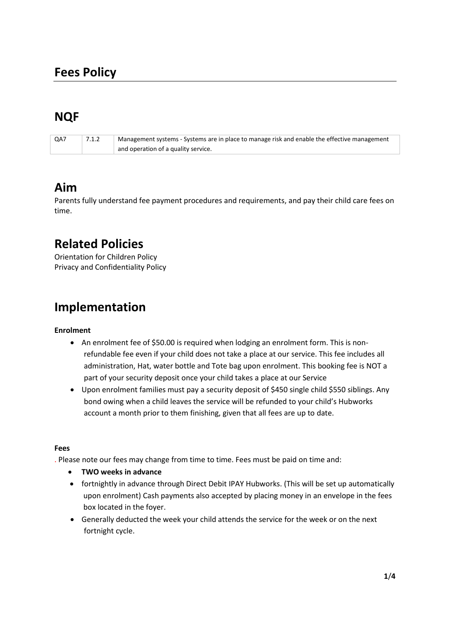# **NQF**

| QA7 | 7.1.2 | Management systems - Systems are in place to manage risk and enable the effective management |
|-----|-------|----------------------------------------------------------------------------------------------|
|     |       | and operation of a quality service.                                                          |

### **Aim**

Parents fully understand fee payment procedures and requirements, and pay their child care fees on time.

## **Related Policies**

Orientation for Children Policy Privacy and Confidentiality Policy

## **Implementation**

### **Enrolment**

- An enrolment fee of \$50.00 is required when lodging an enrolment form. This is nonrefundable fee even if your child does not take a place at our service. This fee includes all administration, Hat, water bottle and Tote bag upon enrolment. This booking fee is NOT a part of your security deposit once your child takes a place at our Service
- Upon enrolment families must pay a security deposit of \$450 single child \$550 siblings. Any bond owing when a child leaves the service will be refunded to your child's Hubworks account a month prior to them finishing, given that all fees are up to date.

#### **Fees**

. Please note our fees may change from time to time. Fees must be paid on time and:

- **TWO weeks in advance**
- fortnightly in advance through Direct Debit IPAY Hubworks. (This will be set up automatically upon enrolment) Cash payments also accepted by placing money in an envelope in the fees box located in the foyer.
- Generally deducted the week your child attends the service for the week or on the next fortnight cycle.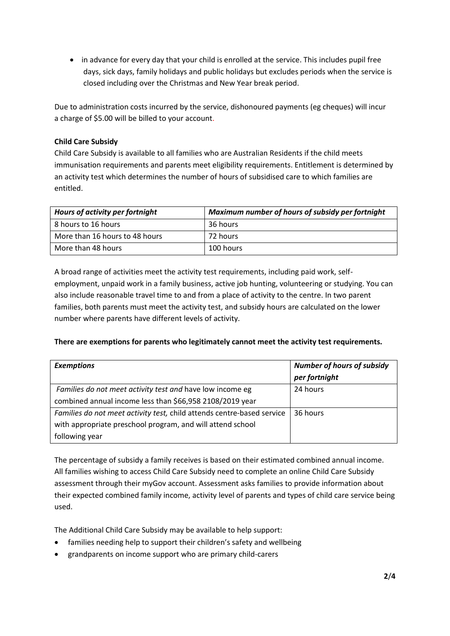• in advance for every day that your child is enrolled at the service. This includes pupil free days, sick days, family holidays and public holidays but excludes periods when the service is closed including over the Christmas and New Year break period.

Due to administration costs incurred by the service, dishonoured payments (eg cheques) will incur a charge of \$5.00 will be billed to your account.

#### **Child Care Subsidy**

Child Care Subsidy is available to all families who are Australian Residents if the child meets immunisation requirements and parents meet eligibility requirements. Entitlement is determined by an activity test which determines the number of hours of subsidised care to which families are entitled.

| Hours of activity per fortnight | Maximum number of hours of subsidy per fortnight |  |
|---------------------------------|--------------------------------------------------|--|
| 8 hours to 16 hours             | 36 hours                                         |  |
| More than 16 hours to 48 hours  | 72 hours                                         |  |
| More than 48 hours              | 100 hours                                        |  |

A broad range of activities meet the activity test requirements, including paid work, selfemployment, unpaid work in a family business, active job hunting, volunteering or studying. You can also include reasonable travel time to and from a place of activity to the centre. In two parent families, both parents must meet the activity test, and subsidy hours are calculated on the lower number where parents have different levels of activity.

#### **There are exemptions for parents who legitimately cannot meet the activity test requirements.**

| <b>Exemptions</b>                                                      | <b>Number of hours of subsidy</b><br>per fortnight |
|------------------------------------------------------------------------|----------------------------------------------------|
| Families do not meet activity test and have low income eg              | 24 hours                                           |
| combined annual income less than \$66,958 2108/2019 year               |                                                    |
| Families do not meet activity test, child attends centre-based service | 36 hours                                           |
| with appropriate preschool program, and will attend school             |                                                    |
| following year                                                         |                                                    |

The percentage of subsidy a family receives is based on their estimated combined annual income. All families wishing to access Child Care Subsidy need to complete an online Child Care Subsidy assessment through their myGov account. Assessment asks families to provide information about their expected combined family income, activity level of parents and types of child care service being used.

The Additional Child Care Subsidy may be available to help support:

- families needing help to support their children's safety and wellbeing
- grandparents on income support who are primary child-carers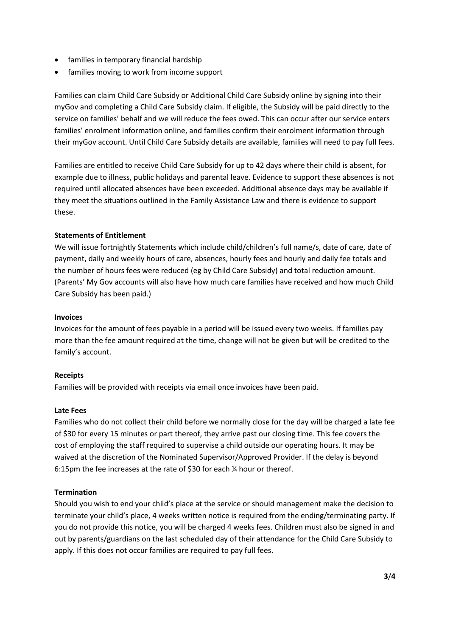- families in temporary financial hardship
- families moving to work from income support

Families can claim Child Care Subsidy or Additional Child Care Subsidy online by signing into their myGov and completing a Child Care Subsidy claim. If eligible, the Subsidy will be paid directly to the service on families' behalf and we will reduce the fees owed. This can occur after our service enters families' enrolment information online, and families confirm their enrolment information through their myGov account. Until Child Care Subsidy details are available, families will need to pay full fees.

Families are entitled to receive Child Care Subsidy for up to 42 days where their child is absent, for example due to illness, public holidays and parental leave. Evidence to support these absences is not required until allocated absences have been exceeded. Additional absence days may be available if they meet the situations outlined in the Family Assistance Law and there is evidence to support these.

#### **Statements of Entitlement**

We will issue fortnightly Statements which include child/children's full name/s, date of care, date of payment, daily and weekly hours of care, absences, hourly fees and hourly and daily fee totals and the number of hours fees were reduced (eg by Child Care Subsidy) and total reduction amount. (Parents' My Gov accounts will also have how much care families have received and how much Child Care Subsidy has been paid.)

#### **Invoices**

Invoices for the amount of fees payable in a period will be issued every two weeks. If families pay more than the fee amount required at the time, change will not be given but will be credited to the family's account.

#### **Receipts**

Families will be provided with receipts via email once invoices have been paid.

#### **Late Fees**

Families who do not collect their child before we normally close for the day will be charged a late fee of \$30 for every 15 minutes or part thereof, they arrive past our closing time. This fee covers the cost of employing the staff required to supervise a child outside our operating hours. It may be waived at the discretion of the Nominated Supervisor/Approved Provider. If the delay is beyond 6:15pm the fee increases at the rate of \$30 for each ¼ hour or thereof.

#### **Termination**

Should you wish to end your child's place at the service or should management make the decision to terminate your child's place, 4 weeks written notice is required from the ending/terminating party. If you do not provide this notice, you will be charged 4 weeks fees. Children must also be signed in and out by parents/guardians on the last scheduled day of their attendance for the Child Care Subsidy to apply. If this does not occur families are required to pay full fees.